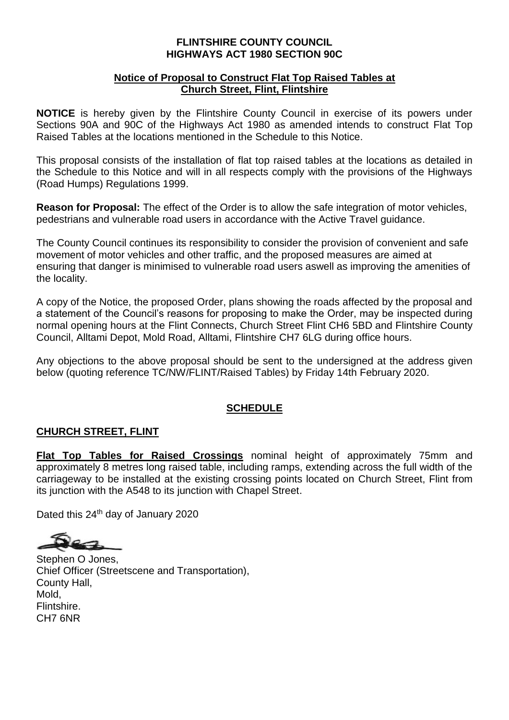## **FLINTSHIRE COUNTY COUNCIL HIGHWAYS ACT 1980 SECTION 90C**

## **Notice of Proposal to Construct Flat Top Raised Tables at Church Street, Flint, Flintshire**

**NOTICE** is hereby given by the Flintshire County Council in exercise of its powers under Sections 90A and 90C of the Highways Act 1980 as amended intends to construct Flat Top Raised Tables at the locations mentioned in the Schedule to this Notice.

This proposal consists of the installation of flat top raised tables at the locations as detailed in the Schedule to this Notice and will in all respects comply with the provisions of the Highways (Road Humps) Regulations 1999.

**Reason for Proposal:** The effect of the Order is to allow the safe integration of motor vehicles, pedestrians and vulnerable road users in accordance with the Active Travel guidance.

The County Council continues its responsibility to consider the provision of convenient and safe movement of motor vehicles and other traffic, and the proposed measures are aimed at ensuring that danger is minimised to vulnerable road users aswell as improving the amenities of the locality.

A copy of the Notice, the proposed Order, plans showing the roads affected by the proposal and a statement of the Council's reasons for proposing to make the Order, may be inspected during normal opening hours at the Flint Connects, Church Street Flint CH6 5BD and Flintshire County Council, Alltami Depot, Mold Road, Alltami, Flintshire CH7 6LG during office hours.

Any objections to the above proposal should be sent to the undersigned at the address given below (quoting reference TC/NW/FLINT/Raised Tables) by Friday 14th February 2020.

## **SCHEDULE**

## **CHURCH STREET, FLINT**

**Flat Top Tables for Raised Crossings** nominal height of approximately 75mm and approximately 8 metres long raised table, including ramps, extending across the full width of the carriageway to be installed at the existing crossing points located on Church Street, Flint from its junction with the A548 to its junction with Chapel Street.

Dated this 24<sup>th</sup> day of January 2020

Stephen O Jones, Chief Officer (Streetscene and Transportation), County Hall, Mold, Flintshire. CH7 6NR